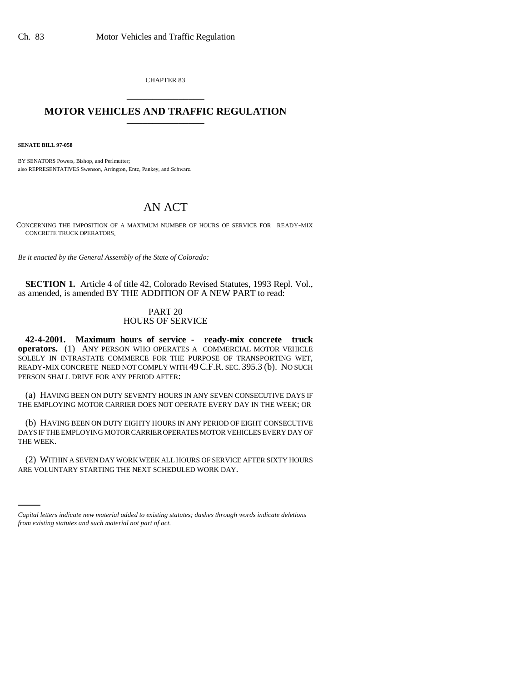CHAPTER 83 \_\_\_\_\_\_\_\_\_\_\_\_\_\_\_

## **MOTOR VEHICLES AND TRAFFIC REGULATION** \_\_\_\_\_\_\_\_\_\_\_\_\_\_\_

**SENATE BILL 97-058**

BY SENATORS Powers, Bishop, and Perlmutter; also REPRESENTATIVES Swenson, Arrington, Entz, Pankey, and Schwarz.

## AN ACT

CONCERNING THE IMPOSITION OF A MAXIMUM NUMBER OF HOURS OF SERVICE FOR READY-MIX CONCRETE TRUCK OPERATORS.

*Be it enacted by the General Assembly of the State of Colorado:*

**SECTION 1.** Article 4 of title 42, Colorado Revised Statutes, 1993 Repl. Vol., as amended, is amended BY THE ADDITION OF A NEW PART to read:

## PART 20 HOURS OF SERVICE

**42-4-2001. Maximum hours of service - ready-mix concrete truck operators.** (1) ANY PERSON WHO OPERATES A COMMERCIAL MOTOR VEHICLE SOLELY IN INTRASTATE COMMERCE FOR THE PURPOSE OF TRANSPORTING WET, READY-MIX CONCRETE NEED NOT COMPLY WITH 49C.F.R. SEC. 395.3 (b). NO SUCH PERSON SHALL DRIVE FOR ANY PERIOD AFTER:

(a) HAVING BEEN ON DUTY SEVENTY HOURS IN ANY SEVEN CONSECUTIVE DAYS IF THE EMPLOYING MOTOR CARRIER DOES NOT OPERATE EVERY DAY IN THE WEEK; OR

(b) HAVING BEEN ON DUTY EIGHTY HOURS IN ANY PERIOD OF EIGHT CONSECUTIVE DAYS IF THE EMPLOYING MOTOR CARRIER OPERATES MOTOR VEHICLES EVERY DAY OF THE WEEK.

(2) WITHIN A SEVEN DAY WORK WEEK ALL HOURS OF SERVICE AFTER SIXTY HOURS ARE VOLUNTARY STARTING THE NEXT SCHEDULED WORK DAY.

*Capital letters indicate new material added to existing statutes; dashes through words indicate deletions from existing statutes and such material not part of act.*